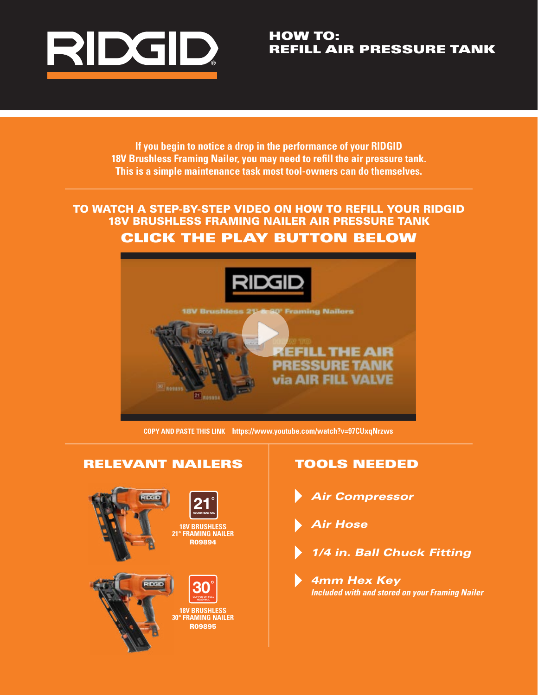

### HOW TO: REFILL AIR PRESSURE TANK

**If you begin to notice a drop in the performance of your RIDGID 18V Brushless Framing Nailer, you may need to refill the air pressure tank. This is a simple maintenance task most tool-owners can do themselves.**

## [TO WATCH A STEP-BY-STEP VIDEO ON HOW TO REFILL YOUR RIDGID](https://www.youtube.com/watch?v=97CUxqNrzws)  18V BRUSHLESS FRAMING NAILER AIR PRESSURE TANK CLICK THE PLAY BUTTON BELOW



**COPY AND PASTE THIS LINK https://www.youtube.com/watch?v=97CUxqNrzws**

# RELEVANT NAILERS | TOOLS NEEDED R09894 **18V BRUSHLESS 21° FRAMING NAILER** R09895 **18V BRUSHLESS 30° FRAMING NAILER 30° CLIPPED OR FULL HEAD NAIL**

- *Air Compressor*
- *Air Hose*
- *1/4 in. Ball Chuck Fitting*
	- *4mm Hex Key Included with and stored on your Framing Nailer*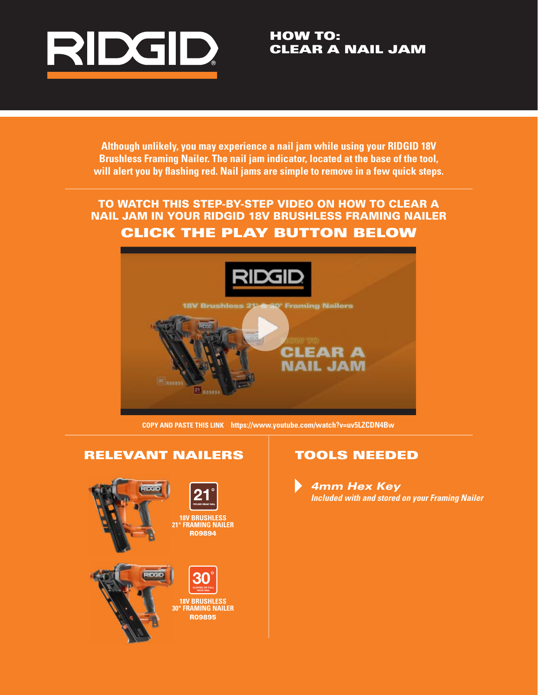

HOW TO: CLEAR A NAIL JAM

**Although unlikely, you may experience a nail jam while using your RIDGID 18V Brushless Framing Nailer. The nail jam indicator, located at the base of the tool, will alert you by flashing red. Nail jams are simple to remove in a few quick steps.**

## TO WATCH THIS STEP-BY-STEP VIDEO ON HOW TO CLEAR A [NAIL JAM IN YOUR RIDGID 18V BRUSHLESS FRAMING NAILER](https://www.youtube.com/watch?v=uv5LZCDN4Bw)  CLICK THE PLAY BUTTON BELOW



**COPY AND PASTE THIS LINK https://www.youtube.com/watch?v=uv5LZCDN4Bw**

#### RELEVANT NAILERS



#### TOOLS NEEDED

*4mm Hex Key Included with and stored on your Framing Nailer*